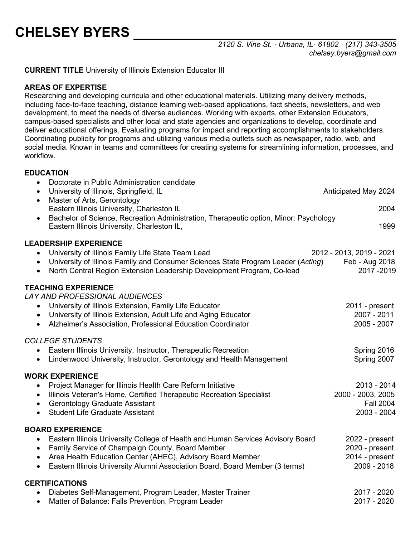# **CHELSEY BYERS**

*2120 S. Vine St. · Urbana, IL· 61802 · (217) 343-3505 chelsey.byers@gmail.com*

**CURRENT TITLE** University of Illinois Extension Educator III

#### **AREAS OF EXPERTISE**

Researching and developing curricula and other educational materials. Utilizing many delivery methods, including face-to-face teaching, distance learning web-based applications, fact sheets, newsletters, and web development, to meet the needs of diverse audiences. Working with experts, other Extension Educators, campus-based specialists and other local and state agencies and organizations to develop, coordinate and deliver educational offerings. Evaluating programs for impact and reporting accomplishments to stakeholders. Coordinating publicity for programs and utilizing various media outlets such as newspaper, radio, web, and social media. Known in teams and committees for creating systems for streamlining information, processes, and workflow.

#### **EDUCATION**

| Doctorate in Public Administration candidate<br>University of Illinois, Springfield, IL<br>Master of Arts, Gerontology<br>$\bullet$<br>Eastern Illinois University, Charleston IL<br>Bachelor of Science, Recreation Administration, Therapeutic option, Minor: Psychology<br>$\bullet$<br>Eastern Illinois University, Charleston IL,                           | Anticipated May 2024<br>2004<br>1999                                |
|------------------------------------------------------------------------------------------------------------------------------------------------------------------------------------------------------------------------------------------------------------------------------------------------------------------------------------------------------------------|---------------------------------------------------------------------|
| <b>LEADERSHIP EXPERIENCE</b><br>University of Illinois Family Life State Team Lead<br>University of Illinois Family and Consumer Sciences State Program Leader (Acting)<br>$\bullet$<br>North Central Region Extension Leadership Development Program, Co-lead<br>$\bullet$                                                                                      | 2012 - 2013, 2019 - 2021<br>Feb - Aug 2018<br>2017-2019             |
| <b>TEACHING EXPERIENCE</b><br>LAY AND PROFESSIONAL AUDIENCES<br>University of Illinois Extension, Family Life Educator<br>University of Illinois Extension, Adult Life and Aging Educator<br>$\bullet$<br>Alzheimer's Association, Professional Education Coordinator<br>$\bullet$                                                                               | 2011 - present<br>2007 - 2011<br>2005 - 2007                        |
| <b>COLLEGE STUDENTS</b><br>Eastern Illinois University, Instructor, Therapeutic Recreation<br>$\bullet$<br>Lindenwood University, Instructor, Gerontology and Health Management<br>$\bullet$                                                                                                                                                                     | Spring 2016<br>Spring 2007                                          |
| <b>WORK EXPERIENCE</b><br>Project Manager for Illinois Health Care Reform Initiative<br>$\bullet$<br>Illinois Veteran's Home, Certified Therapeutic Recreation Specialist<br>$\bullet$<br>Gerontology Graduate Assistant<br>$\bullet$<br><b>Student Life Graduate Assistant</b><br>$\bullet$                                                                     | 2013 - 2014<br>2000 - 2003, 2005<br><b>Fall 2004</b><br>2003 - 2004 |
| <b>BOARD EXPERIENCE</b><br>Eastern Illinois University College of Health and Human Services Advisory Board<br>$\bullet$<br>Family Service of Champaign County, Board Member<br>$\bullet$<br>Area Health Education Center (AHEC), Advisory Board Member<br>$\bullet$<br>Eastern Illinois University Alumni Association Board, Board Member (3 terms)<br>$\bullet$ | 2022 - present<br>2020 - present<br>2014 - present<br>2009 - 2018   |
| <b>CERTIFICATIONS</b><br>Diabetes Self-Management, Program Leader, Master Trainer<br>Matter of Balance: Falls Prevention, Program Leader<br>$\bullet$                                                                                                                                                                                                            | 2017 - 2020<br>2017 - 2020                                          |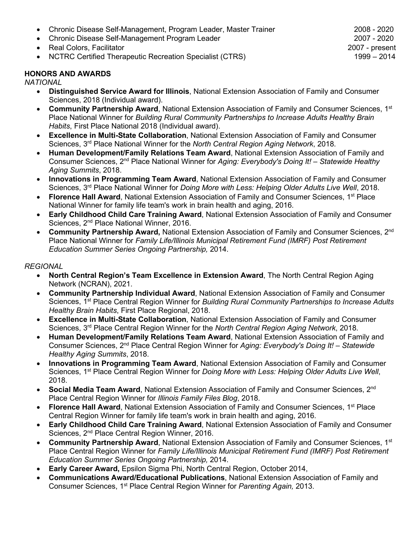- Chronic Disease Self-Management, Program Leader, Master Trainer 2008 2008 2020
- Chronic Disease Self-Management Program Leader 2007 2020
- 
- Real Colors, Facilitator 2007 present NCTRC Certified Therapeutic Recreation Specialist (CTRS)

#### **HONORS AND AWARDS**

*NATIONAL*

- **Distinguished Service Award for Illinois**, National Extension Association of Family and Consumer Sciences, 2018 (Individual award).
- **Community Partnership Award**, National Extension Association of Family and Consumer Sciences, 1st Place National Winner for *Building Rural Community Partnerships to Increase Adults Healthy Brain Habits*, First Place National 2018 (Individual award).
- **Excellence in Multi-State Collaboration**, National Extension Association of Family and Consumer Sciences, 3rd Place National Winner for the *North Central Region Aging Network*, 2018.
- **Human Development/Family Relations Team Award**, National Extension Association of Family and Consumer Sciences, 2nd Place National Winner for *Aging: Everybody's Doing It! – Statewide Healthy Aging Summits*, 2018.
- **Innovations in Programming Team Award**, National Extension Association of Family and Consumer Sciences, 3rd Place National Winner for *Doing More with Less: Helping Older Adults Live Well*, 2018.
- **Florence Hall Award**, National Extension Association of Family and Consumer Sciences, 1st Place National Winner for family life team's work in brain health and aging, 2016.
- **Early Childhood Child Care Training Award**, National Extension Association of Family and Consumer Sciences, 2<sup>nd</sup> Place National Winner, 2016.
- **Community Partnership Award,** National Extension Association of Family and Consumer Sciences, 2nd Place National Winner for *Family Life/Illinois Municipal Retirement Fund (IMRF) Post Retirement Education Summer Series Ongoing Partnership,* 2014.

#### *REGIONAL*

- **North Central Region's Team Excellence in Extension Award**, The North Central Region Aging Network (NCRAN), 2021.
- **Community Partnership Individual Award**, National Extension Association of Family and Consumer Sciences, 1st Place Central Region Winner for *Building Rural Community Partnerships to Increase Adults Healthy Brain Habits*, First Place Regional, 2018.
- **Excellence in Multi-State Collaboration**, National Extension Association of Family and Consumer Sciences, 3rd Place Central Region Winner for the *North Central Region Aging Network*, 2018.
- **Human Development/Family Relations Team Award**, National Extension Association of Family and Consumer Sciences, 2nd Place Central Region Winner for *Aging: Everybody's Doing It! – Statewide Healthy Aging Summits*, 2018.
- **Innovations in Programming Team Award**, National Extension Association of Family and Consumer Sciences, 1st Place Central Region Winner for *Doing More with Less: Helping Older Adults Live Well*, 2018.
- **Social Media Team Award**, National Extension Association of Family and Consumer Sciences, 2nd Place Central Region Winner for *Illinois Family Files Blog*, 2018.
- **Florence Hall Award**, National Extension Association of Family and Consumer Sciences, 1st Place Central Region Winner for family life team's work in brain health and aging, 2016.
- **Early Childhood Child Care Training Award**, National Extension Association of Family and Consumer Sciences, 2<sup>nd</sup> Place Central Region Winner, 2016.
- **Community Partnership Award**, National Extension Association of Family and Consumer Sciences, 1st Place Central Region Winner for *Family Life/Illinois Municipal Retirement Fund (IMRF) Post Retirement Education Summer Series Ongoing Partnership,* 2014.
- **Early Career Award,** Epsilon Sigma Phi, North Central Region, October 2014,
- **Communications Award/Educational Publications**, National Extension Association of Family and Consumer Sciences, 1st Place Central Region Winner for *Parenting Again,* 2013.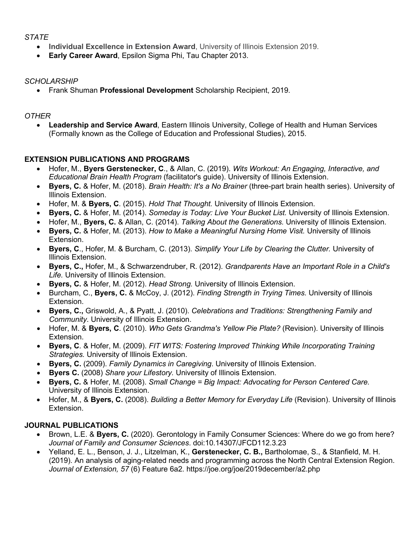#### *STATE*

- **Individual Excellence in Extension Award**, University of Illinois Extension 2019.
- **Early Career Award**, Epsilon Sigma Phi, Tau Chapter 2013.

#### *SCHOLARSHIP*

• Frank Shuman **Professional Development** Scholarship Recipient, 2019.

## *OTHER*

• **Leadership and Service Award**, Eastern Illinois University, College of Health and Human Services (Formally known as the College of Education and Professional Studies), 2015.

# **EXTENSION PUBLICATIONS AND PROGRAMS**

- Hofer, M., **Byers Gerstenecker, C**., & Allan, C. (2019). *Wits Workout: An Engaging, Interactive, and Educational Brain Health Program* (facilitator's guide). University of Illinois Extension.
- **Byers, C.** & Hofer, M. (2018). *Brain Health: It's a No Brainer* (three-part brain health series). University of Illinois Extension.
- Hofer, M. & **Byers, C**. (2015). *Hold That Thought.* University of Illinois Extension.
- **Byers, C.** & Hofer, M. (2014). *Someday is Today: Live Your Bucket List.* University of Illinois Extension.
- Hofer, M., **Byers, C.** & Allan, C. (2014). *Talking About the Generations.* University of Illinois Extension.
- **Byers, C.** & Hofer, M. (2013). *How to Make a Meaningful Nursing Home Visit.* University of Illinois Extension.
- **Byers, C**., Hofer, M. & Burcham, C. (2013). *Simplify Your Life by Clearing the Clutter.* University of Illinois Extension.
- **Byers, C.,** Hofer, M., & Schwarzendruber, R. (2012). *Grandparents Have an Important Role in a Child's Life.* University of Illinois Extension.
- **Byers, C.** & Hofer, M. (2012). *Head Strong.* University of Illinois Extension.
- Burcham, C., **Byers, C.** & McCoy, J. (2012). *Finding Strength in Trying Times.* University of Illinois Extension.
- **Byers, C.,** Griswold, A., & Pyatt, J. (2010). *Celebrations and Traditions: Strengthening Family and Community*. University of Illinois Extension.
- Hofer, M. & **Byers, C**. (2010). *Who Gets Grandma's Yellow Pie Plate?* (Revision). University of Illinois Extension.
- **Byers, C**. & Hofer, M. (2009). *FIT WITS: Fostering Improved Thinking While Incorporating Training Strategies.* University of Illinois Extension.
- **Byers, C.** (2009). *Family Dynamics in Caregiving*. University of Illinois Extension.
- **Byers C.** (2008) *Share your Lifestory.* University of Illinois Extension.
- **Byers, C.** & Hofer, M. (2008). *Small Change = Big Impact: Advocating for Person Centered Care.* University of Illinois Extension.
- Hofer, M., & **Byers, C.** (2008). *Building a Better Memory for Everyday Life* (Revision). University of Illinois Extension.

# **JOURNAL PUBLICATIONS**

- Brown, L.E. & **Byers, C.** (2020). Gerontology in Family Consumer Sciences: Where do we go from here? *Journal of Family and Consumer Sciences*. doi:10.14307/JFCD112.3.23
- Yelland, E. L., Benson, J. J., Litzelman, K., **Gerstenecker, C. B.,** Bartholomae, S., & Stanfield, M. H. (2019). An analysis of aging-related needs and programming across the North Central Extension Region. *Journal of Extension, 57* (6) Feature 6a2. https://joe.org/joe/2019december/a2.php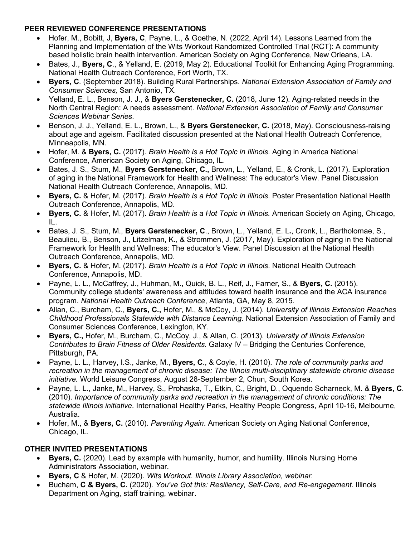#### **PEER REVIEWED CONFERENCE PRESENTATIONS**

- Hofer, M., Bobitt, J, **Byers, C**, Payne, L., & Goethe, N. (2022, April 14). Lessons Learned from the Planning and Implementation of the Wits Workout Randomized Controlled Trial (RCT): A community based holistic brain health intervention. American Society on Aging Conference, New Orleans, LA.
- Bates, J., **Byers, C**., & Yelland, E. (2019, May 2). Educational Toolkit for Enhancing Aging Programming. National Health Outreach Conference, Fort Worth, TX.
- **Byers, C**. (September 2018). Building Rural Partnerships. *National Extension Association of Family and Consumer Sciences,* San Antonio, TX.
- Yelland, E. L., Benson, J. J., & **Byers Gerstenecker, C.** (2018, June 12). Aging-related needs in the North Central Region: A needs assessment. *National Extension Association of Family and Consumer Sciences Webinar Series*.
- Benson, J. J., Yelland, E. L., Brown, L., & **Byers Gerstenecker, C.** (2018, May). Consciousness-raising about age and ageism. Facilitated discussion presented at the National Health Outreach Conference, Minneapolis, MN.
- Hofer, M. & **Byers, C.** (2017). *Brain Health is a Hot Topic in Illinois*. Aging in America National Conference, American Society on Aging, Chicago, IL.
- Bates, J. S., Stum, M., **Byers Gerstenecker, C.,** Brown, L., Yelland, E., & Cronk, L. (2017). Exploration of aging in the National Framework for Health and Wellness: The educator's View. Panel Discussion National Health Outreach Conference, Annapolis, MD.
- **Byers, C.** & Hofer, M. (2017). *Brain Health is a Hot Topic in Illinois*. Poster Presentation National Health Outreach Conference, Annapolis, MD.
- **Byers, C.** & Hofer, M. (2017). *Brain Health is a Hot Topic in Illinois.* American Society on Aging, Chicago, IL.
- Bates, J. S., Stum, M., **Byers Gerstenecker, C**., Brown, L., Yelland, E. L**.**, Cronk, L., Bartholomae, S., Beaulieu, B., Benson, J., Litzelman, K., & Strommen, J. (2017, May). Exploration of aging in the National Framework for Health and Wellness: The educator's View. Panel Discussion at the National Health Outreach Conference, Annapolis, MD.
- **Byers, C.** & Hofer, M. (2017). *Brain Health is a Hot Topic in Illinois*. National Health Outreach Conference, Annapolis, MD.
- Payne, L. L., McCaffrey, J., Huhman, M., Quick, B. L., Reif, J., Farner, S., & **Byers, C.** (2015). Community college students' awareness and attitudes toward health insurance and the ACA insurance program. *National Health Outreach Conference*, Atlanta, GA, May 8, 2015.
- Allan, C., Burcham, C., **Byers, C.,** Hofer, M., & McCoy, J. (2014). *University of Illinois Extension Reaches Childhood Professionals Statewide with Distance Learning.* National Extension Association of Family and Consumer Sciences Conference, Lexington, KY.
- **Byers, C.,** Hofer, M., Burcham, C., McCoy, J., & Allan, C. (2013). *University of Illinois Extension Contributes to Brain Fitness of Older Residents.* Galaxy IV – Bridging the Centuries Conference, Pittsburgh, PA.
- Payne, L. L., Harvey, I.S., Janke, M., **Byers, C**., & Coyle, H. (2010). *The role of community parks and recreation in the management of chronic disease: The Illinois multi-disciplinary statewide chronic disease initiative.* World Leisure Congress, August 28-September 2, Chun, South Korea.
- Payne, L. L., Janke, M., Harvey, S., Prohaska, T., Etkin, C., Bright, D., Oquendo Scharneck, M. & **Byers, C**. (2010). *Importance of community parks and recreation in the management of chronic conditions: The statewide Illinois initiative.* International Healthy Parks, Healthy People Congress, April 10-16, Melbourne, Australia.
- Hofer, M., & **Byers, C.** (2010). *Parenting Again*. American Society on Aging National Conference, Chicago, IL.

# **OTHER INVITED PRESENTATIONS**

- **Byers, C.** (2020). Lead by example with humanity, humor, and humility. Illinois Nursing Home Administrators Association, webinar.
- **Byers, C** & Hofer, M. (2020). *Wits Workout. Illinois Library Association, webinar.*
- Bucham, **C & Byers, C.** (2020). *You've Got this: Resiliency, Self-Care, and Re-engagement.* Illinois Department on Aging, staff training, webinar.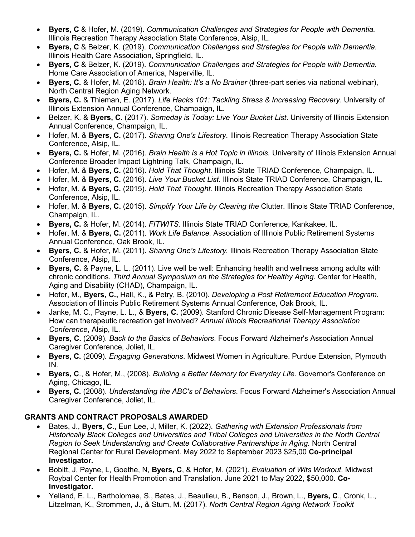- **Byers, C** & Hofer, M. (2019). *Communication Challenges and Strategies for People with Dementia.*  Illinois Recreation Therapy Association State Conference, Alsip, IL.
- **Byers, C** & Belzer, K. (2019). *Communication Challenges and Strategies for People with Dementia.*  Illinois Health Care Association, Springfield, IL.
- **Byers, C** & Belzer, K. (2019). *Communication Challenges and Strategies for People with Dementia.*  Home Care Association of America, Naperville, IL.
- **Byers, C.** & Hofer, M. (2018). *Brain Health: It's a No Brainer* (three-part series via national webinar), North Central Region Aging Network.
- **Byers, C.** & Thieman, E. (2017). *Life Hacks 101: Tackling Stress & Increasing Recovery*. University of Illinois Extension Annual Conference, Champaign, IL.
- Belzer, K. & **Byers, C.** (2017). *Someday is Today: Live Your Bucket List*. University of Illinois Extension Annual Conference, Champaign, IL.
- Hofer, M. & **Byers, C.** (2017). *Sharing One's Lifestory*. Illinois Recreation Therapy Association State Conference, Alsip, IL.
- **Byers, C.** & Hofer, M. (2016). *Brain Health is a Hot Topic in Illinois.* University of Illinois Extension Annual Conference Broader Impact Lightning Talk, Champaign, IL.
- Hofer, M. & **Byers, C.** (2016). *Hold That Thought.* Illinois State TRIAD Conference, Champaign, IL.
- Hofer, M. & **Byers, C.** (2016). *Live Your Bucket List.* Illinois State TRIAD Conference, Champaign, IL.
- Hofer, M. & **Byers, C.** (2015). *Hold That Thought.* Illinois Recreation Therapy Association State Conference, Alsip, IL.
- Hofer, M. & **Byers, C.** (2015). *Simplify Your Life by Clearing the* Clutter. Illinois State TRIAD Conference, Champaign, IL.
- **Byers, C.** & Hofer, M. (2014). *FITWITS.* Illinois State TRIAD Conference, Kankakee, IL.
- Hofer, M. & **Byers, C.** (2011). *Work Life Balance.* Association of Illinois Public Retirement Systems Annual Conference, Oak Brook, IL.
- **Byers, C.** & Hofer, M. (2011). *Sharing One's Lifestory.* Illinois Recreation Therapy Association State Conference, Alsip, IL.
- **Byers, C.** & Payne, L. L. (2011). Live well be well: Enhancing health and wellness among adults with chronic conditions. *Third Annual Symposium on the Strategies for Healthy Aging*. Center for Health, Aging and Disability (CHAD), Champaign, IL.
- Hofer, M., **Byers, C.,** Hall, K., & Petry, B. (2010). *Developing a Post Retirement Education Program.* Association of Illinois Public Retirement Systems Annual Conference, Oak Brook, IL.
- Janke, M. C., Payne, L. L., & **Byers, C.** (2009). Stanford Chronic Disease Self-Management Program: How can therapeutic recreation get involved? *Annual Illinois Recreational Therapy Association Conference*, Alsip, IL.
- **Byers, C.** (2009). *Back to the Basics of Behaviors*. Focus Forward Alzheimer's Association Annual Caregiver Conference, Joliet, IL.
- **Byers, C.** (2009). *Engaging Generations*. Midwest Women in Agriculture. Purdue Extension, Plymouth IN.
- **Byers, C**., & Hofer, M., (2008). *Building a Better Memory for Everyday Life*. Governor's Conference on Aging, Chicago, IL.
- **Byers, C.** (2008). *Understanding the ABC's of Behaviors*. Focus Forward Alzheimer's Association Annual Caregiver Conference, Joliet, IL.

# **GRANTS AND CONTRACT PROPOSALS AWARDED**

- Bates, J., **Byers, C**., Eun Lee, J, Miller, K. (2022). *Gathering with Extension Professionals from Historically Black Colleges and Universities and Tribal Colleges and Universities in the North Central Region to Seek Understanding and Create Collaborative Partnerships in Aging.* North Central Regional Center for Rural Development. May 2022 to September 2023 \$25,00 **Co-principal Investigator.**
- Bobitt, J, Payne, L, Goethe, N, **Byers, C**, & Hofer, M. (2021). *Evaluation of Wits Workout*. Midwest Roybal Center for Health Promotion and Translation. June 2021 to May 2022, \$50,000. **Co-Investigator.**
- Yelland, E. L., Bartholomae, S., Bates, J., Beaulieu, B., Benson, J., Brown, L., **Byers, C**., Cronk, L., Litzelman, K., Strommen, J., & Stum, M. (2017). *North Central Region Aging Network Toolkit*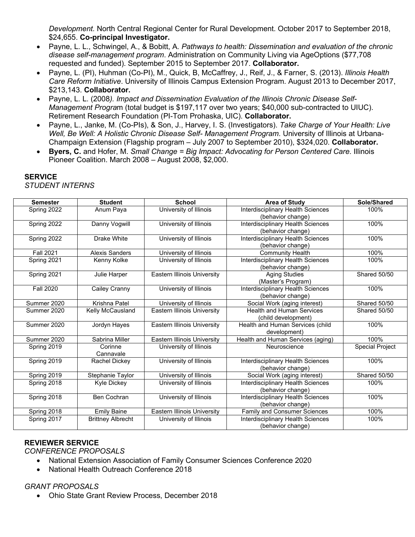*Development.* North Central Regional Center for Rural Development. October 2017 to September 2018, \$24,655. **Co-principal Investigator.**

- Payne, L. L., Schwingel, A., & Bobitt, A. *Pathways to health: Dissemination and evaluation of the chronic disease self-management program*. Administration on Community Living via AgeOptions (\$77,708 requested and funded). September 2015 to September 2017. **Collaborator.**
- Payne, L. (PI), Huhman (Co-PI), M., Quick, B, McCaffrey, J., Reif, J., & Farner, S. (2013). *Illinois Health Care Reform Initiative*. University of Illinois Campus Extension Program. August 2013 to December 2017, \$213,143. **Collaborator.**
- Payne, L. L. (2008*). Impact and Dissemination Evaluation of the Illinois Chronic Disease Self-Management Progra*m (total budget is \$197,117 over two years; \$40,000 sub-contracted to UIUC). Retirement Research Foundation (PI-Tom Prohaska, UIC). **Collaborator.**
- Payne, L., Janke, M. (Co-PIs), & Son, J., Harvey, I. S. (Investigators). *Take Charge of Your Health: Live Well, Be Well: A Holistic Chronic Disease Self- Management Program*. University of Illinois at Urbana-Champaign Extension (Flagship program – July 2007 to September 2010), \$324,020. **Collaborator.**
- **Byers, C.** and Hofer, M. *Small Change = Big Impact: Advocating for Person Centered Care*. Illinois Pioneer Coalition. March 2008 – August 2008, \$2,000.

| <b>Semester</b>  | <b>Student</b>           | <b>School</b>                      | <b>Area of Study</b>                | Sole/Shared            |
|------------------|--------------------------|------------------------------------|-------------------------------------|------------------------|
| Spring 2022      | Anum Paya                | University of Illinois             | Interdisciplinary Health Sciences   | 100%                   |
|                  |                          |                                    | (behavior change)                   |                        |
| Spring 2022      | Danny Vogwill            | University of Illinois             | Interdisciplinary Health Sciences   | 100%                   |
|                  |                          |                                    | (behavior change)                   |                        |
| Spring 2022      | Drake White              | University of Illinois             | Interdisciplinary Health Sciences   | 100%                   |
|                  |                          |                                    | (behavior change)                   |                        |
| <b>Fall 2021</b> | Alexis Sanders           | University of Illinois             | <b>Community Health</b>             | 100%                   |
| Spring 2021      | Kenny Kolke              | University of Illinois             | Interdisciplinary Health Sciences   | 100%                   |
|                  |                          |                                    | (behavior change)                   |                        |
| Spring 2021      | Julie Harper             | Eastern Illinois University        | <b>Aging Studies</b>                | Shared 50/50           |
|                  |                          |                                    | (Master's Program)                  |                        |
| <b>Fall 2020</b> | Cailey Cranny            | University of Illinois             | Interdisciplinary Health Sciences   | 100%                   |
|                  |                          |                                    | (behavior change)                   |                        |
| Summer 2020      | Krishna Patel            | University of Illinois             | Social Work (aging interest)        | Shared 50/50           |
| Summer 2020      | Kelly McCausland         | Eastern Illinois University        | <b>Health and Human Services</b>    | Shared 50/50           |
|                  |                          |                                    | (child development)                 |                        |
| Summer 2020      | Jordyn Hayes             | <b>Eastern Illinois University</b> | Health and Human Services (child    | 100%                   |
|                  |                          |                                    | development)                        |                        |
| Summer 2020      | Sabrina Miller           | <b>Eastern Illinois University</b> | Health and Human Services (aging)   | 100%                   |
| Spring 2019      | Corinne                  | University of Illinois             | Neuroscience                        | <b>Special Project</b> |
|                  | Cannavale                |                                    |                                     |                        |
| Spring 2019      | Rachel Dickey            | University of Illinois             | Interdisciplinary Health Sciences   | 100%                   |
|                  |                          |                                    | (behavior change)                   |                        |
| Spring 2019      | Stephanie Taylor         | University of Illinois             | Social Work (aging interest)        | Shared 50/50           |
| Spring 2018      | <b>Kyle Dickey</b>       | University of Illinois             | Interdisciplinary Health Sciences   | 100%                   |
|                  |                          |                                    | (behavior change)                   |                        |
| Spring 2018      | <b>Ben Cochran</b>       | University of Illinois             | Interdisciplinary Health Sciences   | 100%                   |
|                  |                          |                                    | (behavior change)                   |                        |
| Spring 2018      | <b>Emily Baine</b>       | <b>Eastern Illinois University</b> | <b>Family and Consumer Sciences</b> | 100%                   |
| Spring 2017      | <b>Brittney Albrecht</b> | University of Illinois             | Interdisciplinary Health Sciences   | 100%                   |
|                  |                          |                                    | (behavior change)                   |                        |

# **SERVICE**

*STUDENT INTERNS*

#### **REVIEWER SERVICE**

*CONFERENCE PROPOSALS*

- National Extension Association of Family Consumer Sciences Conference 2020
- National Health Outreach Conference 2018

#### *GRANT PROPOSALS*

• Ohio State Grant Review Process, December 2018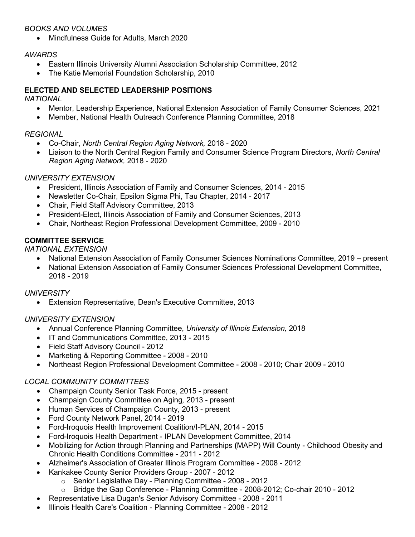#### *BOOKS AND VOLUMES*

• Mindfulness Guide for Adults, March 2020

#### *AWARDS*

- Eastern Illinois University Alumni Association Scholarship Committee, 2012
- The Katie Memorial Foundation Scholarship, 2010

#### **ELECTED AND SELECTED LEADERSHIP POSITIONS**

*NATIONAL* 

- Mentor, Leadership Experience, National Extension Association of Family Consumer Sciences, 2021
- Member, National Health Outreach Conference Planning Committee, 2018

#### *REGIONAL*

- Co-Chair, *North Central Region Aging Network,* 2018 2020
- Liaison to the North Central Region Family and Consumer Science Program Directors, *North Central Region Aging Network,* 2018 - 2020

#### *UNIVERSITY EXTENSION*

- President, Illinois Association of Family and Consumer Sciences, 2014 2015
- Newsletter Co-Chair, Epsilon Sigma Phi, Tau Chapter, 2014 2017
- Chair, Field Staff Advisory Committee, 2013
- President-Elect, Illinois Association of Family and Consumer Sciences, 2013
- Chair, Northeast Region Professional Development Committee, 2009 2010

### **COMMITTEE SERVICE**

*NATIONAL EXTENSION*

- National Extension Association of Family Consumer Sciences Nominations Committee, 2019 present
- National Extension Association of Family Consumer Sciences Professional Development Committee, 2018 - 2019

#### *UNIVERSITY*

• Extension Representative, Dean's Executive Committee, 2013

#### *UNIVERSITY EXTENSION*

- Annual Conference Planning Committee, *University of Illinois Extension,* 2018
- IT and Communications Committee, 2013 2015
- Field Staff Advisory Council 2012
- Marketing & Reporting Committee 2008 2010
- Northeast Region Professional Development Committee 2008 2010; Chair 2009 2010

#### *LOCAL COMMUNITY COMMITTEES*

- Champaign County Senior Task Force, 2015 present
- Champaign County Committee on Aging*,* 2013 present
- Human Services of Champaign County, 2013 present
- Ford County Network Panel, 2014 2019
- Ford-Iroquois Health Improvement Coalition/I-PLAN, 2014 2015
- Ford-Iroquois Health Department IPLAN Development Committee, 2014
- Mobilizing for Action through Planning and Partnerships **(**MAPP) Will County Childhood Obesity and Chronic Health Conditions Committee - 2011 - 2012
- Alzheimer's Association of Greater Illinois Program Committee 2008 2012
- Kankakee County Senior Providers Group 2007 2012
	- o Senior Legislative Day Planning Committee 2008 2012<br>○ Bridge the Gap Conference Planning Committee 2008-20
		- o Bridge the Gap Conference Planning Committee 2008-2012; Co-chair 2010 2012
- Representative Lisa Dugan's Senior Advisory Committee 2008 2011
- Illinois Health Care's Coalition Planning Committee 2008 2012